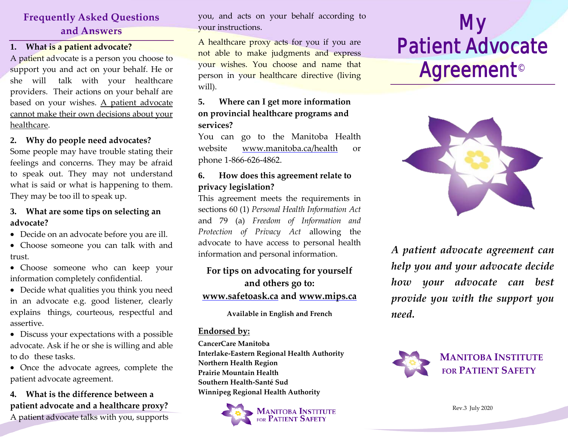# **Frequently Asked Questions and Answers**

#### **1. What is a patient advocate?**

A patient advocate is a person you choose to support you and act on your behalf. He or she will talk with your healthcare providers. Their actions on your behalf are based on your wishes. A patient advocate cannot make their own decisions about your healthcare.

#### **2. Why do people need advocates?**

Some people may have trouble stating their feelings and concerns. They may be afraid to speak out. They may not understand what is said or what is happening to them. They may be too ill to speak up.

#### **3. What are some tips on selecting an advocate?**

- Decide on an advocate before you are ill.
- Choose someone you can talk with and trust.
- Choose someone who can keep your information completely confidential.
- Decide what qualities you think you need in an advocate e.g. good listener, clearly explains things, courteous, respectful and assertive.
- Discuss your expectations with a possible advocate. Ask if he or she is willing and able to do these tasks.
- Once the advocate agrees, complete the patient advocate agreement.

## **4. What is the difference between a patient advocate and a healthcare proxy?**

A patient advocate talks with you, supports

you, and acts on your behalf according to your instructions.

A healthcare proxy acts for you if you are not able to make judgments and express your wishes. You choose and name that person in your healthcare directive (living will).

### **5. Where can I get more information on provincial healthcare programs and services?**

You can go to the Manitoba Health website [www.manitoba.ca/health](http://www.manitoba.ca/health) or phone 1-866-626-4862.

## **6. How does this agreement relate to privacy legislation?**

This agreement meets the requirements in sections 60 (1) *Personal Health Information Act* and 79 (a) *Freedom of Information and Protection of Privacy Act* allowing the advocate to have access to personal health information and personal information.

## **For tips on advocating for yourself and others go to: [www.safetoask.ca](http://www.safetoask.ca/) and www.mips.ca**

#### **Available in English and French**

#### **Endorsed by:**

**CancerCare Manitoba Interlake-Eastern Regional Health Authority Northern Health Region Prairie Mountain Health Southern Health-Santé Sud Winnipeg Regional Health Authority**



# My Patient Advocate **Agreement<sup>©</sup>**



*A patient advocate agreement can help you and your advocate decide how your advocate can best provide you with the support you need.*